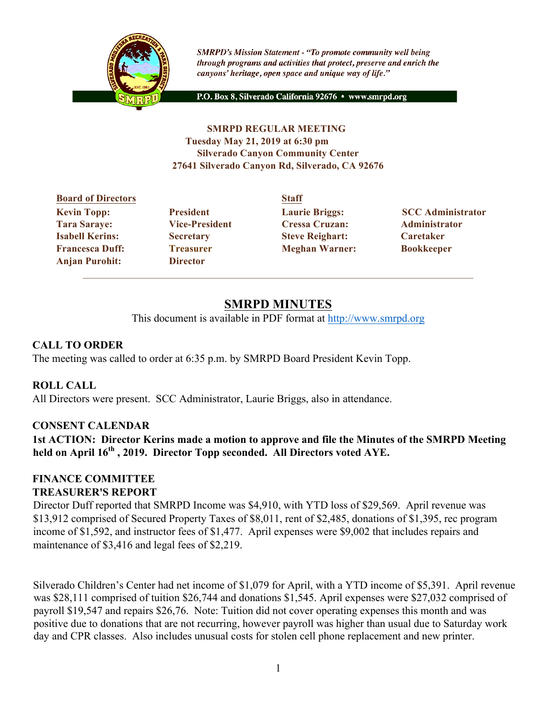

**SMRPD's Mission Statement - "To promote community well being** through programs and activities that protect, preserve and enrich the canyons' heritage, open space and unique way of life."

P.O. Box 8, Silverado California 92676 · www.smrpd.org

#### **SMRPD REGULAR MEETING Tuesday May 21, 2019 at 6:30 pm Silverado Canyon Community Center 27641 Silverado Canyon Rd, Silverado, CA 92676**

# **Board of Directors Staff Tara Saraye: Vice-President Cressa Cruzan: Administrator Isabell Kerins: Secretary Steve Reighart: Caretaker Francesca Duff: Treasurer Meghan Warner: Bookkeeper Anjan Purohit: Director**

**Kevin Topp:** President Laurie Briggs: SCC Administrator

# **SMRPD MINUTES**

This document is available in PDF format at http://www.smrpd.org

# **CALL TO ORDER**

The meeting was called to order at 6:35 p.m. by SMRPD Board President Kevin Topp.

# **ROLL CALL**

All Directors were present. SCC Administrator, Laurie Briggs, also in attendance.

## **CONSENT CALENDAR**

**1st ACTION: Director Kerins made a motion to approve and file the Minutes of the SMRPD Meeting held on April 16th , 2019. Director Topp seconded. All Directors voted AYE.**

#### **FINANCE COMMITTEE TREASURER'S REPORT**

Director Duff reported that SMRPD Income was \$4,910, with YTD loss of \$29,569. April revenue was \$13,912 comprised of Secured Property Taxes of \$8,011, rent of \$2,485, donations of \$1,395, rec program income of \$1,592, and instructor fees of \$1,477. April expenses were \$9,002 that includes repairs and maintenance of \$3,416 and legal fees of \$2,219.

Silverado Children's Center had net income of \$1,079 for April, with a YTD income of \$5,391. April revenue was \$28,111 comprised of tuition \$26,744 and donations \$1,545. April expenses were \$27,032 comprised of payroll \$19,547 and repairs \$26,76. Note: Tuition did not cover operating expenses this month and was positive due to donations that are not recurring, however payroll was higher than usual due to Saturday work day and CPR classes. Also includes unusual costs for stolen cell phone replacement and new printer.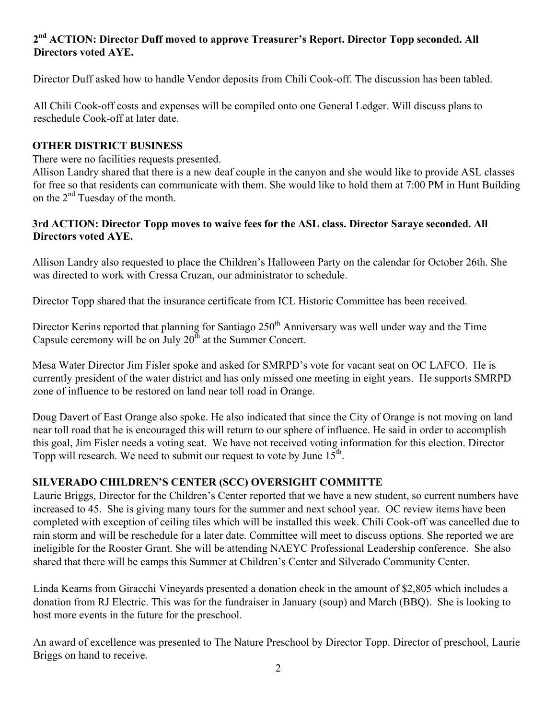## **2nd ACTION: Director Duff moved to approve Treasurer's Report. Director Topp seconded. All Directors voted AYE.**

Director Duff asked how to handle Vendor deposits from Chili Cook-off. The discussion has been tabled.

All Chili Cook-off costs and expenses will be compiled onto one General Ledger. Will discuss plans to reschedule Cook-off at later date.

#### **OTHER DISTRICT BUSINESS**

There were no facilities requests presented.

Allison Landry shared that there is a new deaf couple in the canyon and she would like to provide ASL classes for free so that residents can communicate with them. She would like to hold them at 7:00 PM in Hunt Building on the  $2<sup>nd</sup>$  Tuesday of the month.

#### **3rd ACTION: Director Topp moves to waive fees for the ASL class. Director Saraye seconded. All Directors voted AYE.**

Allison Landry also requested to place the Children's Halloween Party on the calendar for October 26th. She was directed to work with Cressa Cruzan, our administrator to schedule.

Director Topp shared that the insurance certificate from ICL Historic Committee has been received.

Director Kerins reported that planning for Santiago 250<sup>th</sup> Anniversary was well under way and the Time Capsule ceremony will be on July  $20<sup>th</sup>$  at the Summer Concert.

Mesa Water Director Jim Fisler spoke and asked for SMRPD's vote for vacant seat on OC LAFCO. He is currently president of the water district and has only missed one meeting in eight years. He supports SMRPD zone of influence to be restored on land near toll road in Orange.

Doug Davert of East Orange also spoke. He also indicated that since the City of Orange is not moving on land near toll road that he is encouraged this will return to our sphere of influence. He said in order to accomplish this goal, Jim Fisler needs a voting seat. We have not received voting information for this election. Director Topp will research. We need to submit our request to vote by June  $15<sup>th</sup>$ .

## **SILVERADO CHILDREN'S CENTER (SCC) OVERSIGHT COMMITTE**

Laurie Briggs, Director for the Children's Center reported that we have a new student, so current numbers have increased to 45. She is giving many tours for the summer and next school year. OC review items have been completed with exception of ceiling tiles which will be installed this week. Chili Cook-off was cancelled due to rain storm and will be reschedule for a later date. Committee will meet to discuss options. She reported we are ineligible for the Rooster Grant. She will be attending NAEYC Professional Leadership conference. She also shared that there will be camps this Summer at Children's Center and Silverado Community Center.

Linda Kearns from Giracchi Vineyards presented a donation check in the amount of \$2,805 which includes a donation from RJ Electric. This was for the fundraiser in January (soup) and March (BBQ). She is looking to host more events in the future for the preschool.

An award of excellence was presented to The Nature Preschool by Director Topp. Director of preschool, Laurie Briggs on hand to receive.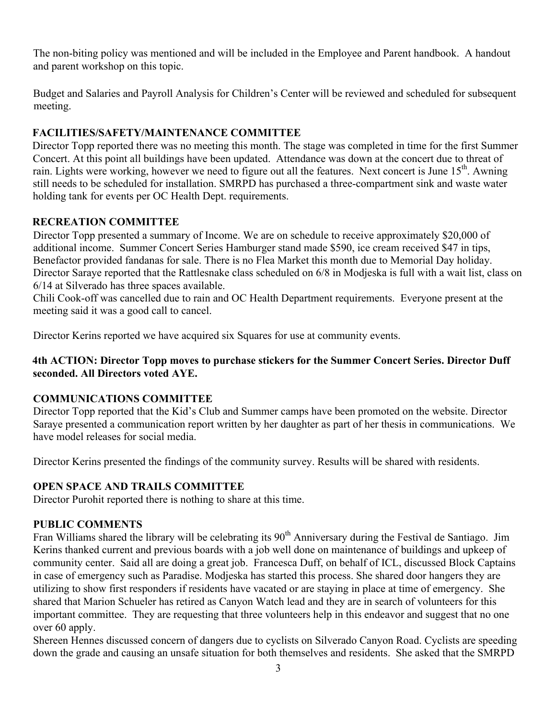The non-biting policy was mentioned and will be included in the Employee and Parent handbook. A handout and parent workshop on this topic.

Budget and Salaries and Payroll Analysis for Children's Center will be reviewed and scheduled for subsequent meeting.

# **FACILITIES/SAFETY/MAINTENANCE COMMITTEE**

Director Topp reported there was no meeting this month. The stage was completed in time for the first Summer Concert. At this point all buildings have been updated. Attendance was down at the concert due to threat of rain. Lights were working, however we need to figure out all the features. Next concert is June 15<sup>th</sup>. Awning still needs to be scheduled for installation. SMRPD has purchased a three-compartment sink and waste water holding tank for events per OC Health Dept. requirements.

## **RECREATION COMMITTEE**

Director Topp presented a summary of Income. We are on schedule to receive approximately \$20,000 of additional income. Summer Concert Series Hamburger stand made \$590, ice cream received \$47 in tips, Benefactor provided fandanas for sale. There is no Flea Market this month due to Memorial Day holiday. Director Saraye reported that the Rattlesnake class scheduled on 6/8 in Modjeska is full with a wait list, class on 6/14 at Silverado has three spaces available.

Chili Cook-off was cancelled due to rain and OC Health Department requirements. Everyone present at the meeting said it was a good call to cancel.

Director Kerins reported we have acquired six Squares for use at community events.

#### **4th ACTION: Director Topp moves to purchase stickers for the Summer Concert Series. Director Duff seconded. All Directors voted AYE.**

## **COMMUNICATIONS COMMITTEE**

Director Topp reported that the Kid's Club and Summer camps have been promoted on the website. Director Saraye presented a communication report written by her daughter as part of her thesis in communications. We have model releases for social media.

Director Kerins presented the findings of the community survey. Results will be shared with residents.

## **OPEN SPACE AND TRAILS COMMITTEE**

Director Purohit reported there is nothing to share at this time.

# **PUBLIC COMMENTS**

Fran Williams shared the library will be celebrating its 90<sup>th</sup> Anniversary during the Festival de Santiago. Jim Kerins thanked current and previous boards with a job well done on maintenance of buildings and upkeep of community center. Said all are doing a great job. Francesca Duff, on behalf of ICL, discussed Block Captains in case of emergency such as Paradise. Modjeska has started this process. She shared door hangers they are utilizing to show first responders if residents have vacated or are staying in place at time of emergency. She shared that Marion Schueler has retired as Canyon Watch lead and they are in search of volunteers for this important committee. They are requesting that three volunteers help in this endeavor and suggest that no one over 60 apply.

Shereen Hennes discussed concern of dangers due to cyclists on Silverado Canyon Road. Cyclists are speeding down the grade and causing an unsafe situation for both themselves and residents. She asked that the SMRPD